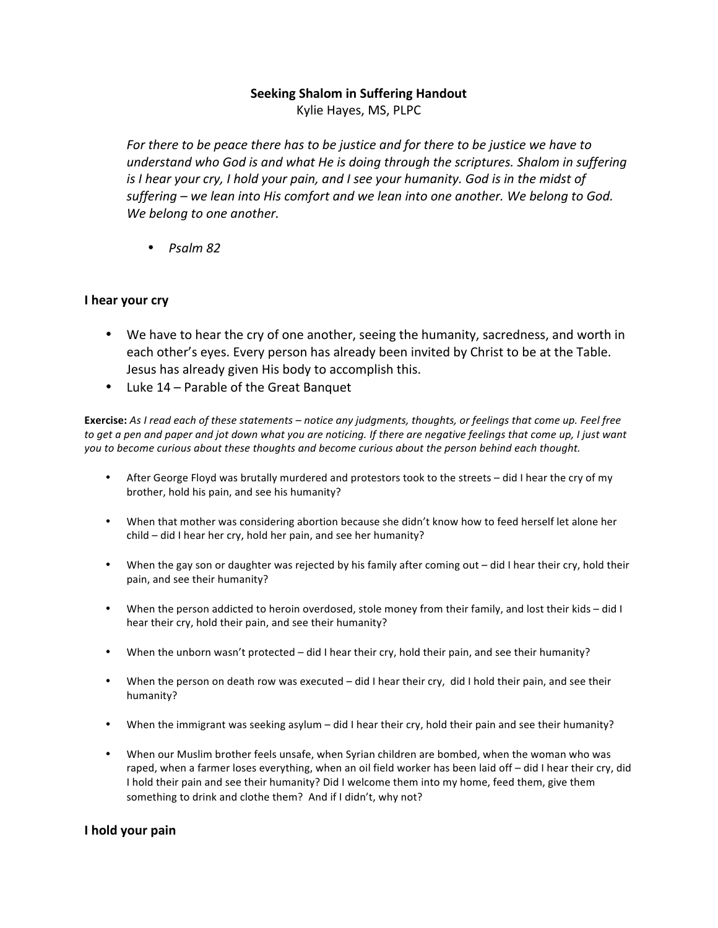## **Seeking Shalom in Suffering Handout**

Kylie Hayes, MS, PLPC

For there to be peace there has to be *justice* and for there to be justice we have to understand who God is and what He is doing through the scriptures. Shalom in suffering *is* I hear your cry, I hold your pain, and I see your humanity. God is in the midst of suffering – we lean into His comfort and we lean into one another. We belong to God. We belong to one another.

• *Psalm 82* 

## **I** hear your cry

- We have to hear the cry of one another, seeing the humanity, sacredness, and worth in each other's eyes. Every person has already been invited by Christ to be at the Table. Jesus has already given His body to accomplish this.
- Luke 14 Parable of the Great Banquet

Exercise: As I read each of these statements - notice any judgments, thoughts, or feelings that come up. Feel free to get a pen and paper and jot down what you are noticing. If there are negative feelings that come up, I just want you to become curious about these thoughts and become curious about the person behind each thought.

- After George Floyd was brutally murdered and protestors took to the streets did I hear the cry of my brother, hold his pain, and see his humanity?
- When that mother was considering abortion because she didn't know how to feed herself let alone her  $child$  – did I hear her cry, hold her pain, and see her humanity?
- When the gay son or daughter was rejected by his family after coming out did I hear their cry, hold their pain, and see their humanity?
- When the person addicted to heroin overdosed, stole money from their family, and lost their kids did I hear their cry, hold their pain, and see their humanity?
- When the unborn wasn't protected did I hear their cry, hold their pain, and see their humanity?
- When the person on death row was executed did I hear their cry, did I hold their pain, and see their humanity?
- When the immigrant was seeking asylum did I hear their cry, hold their pain and see their humanity?
- When our Muslim brother feels unsafe, when Syrian children are bombed, when the woman who was raped, when a farmer loses everything, when an oil field worker has been laid off - did I hear their cry, did I hold their pain and see their humanity? Did I welcome them into my home, feed them, give them something to drink and clothe them? And if I didn't, why not?

## **I** hold your pain